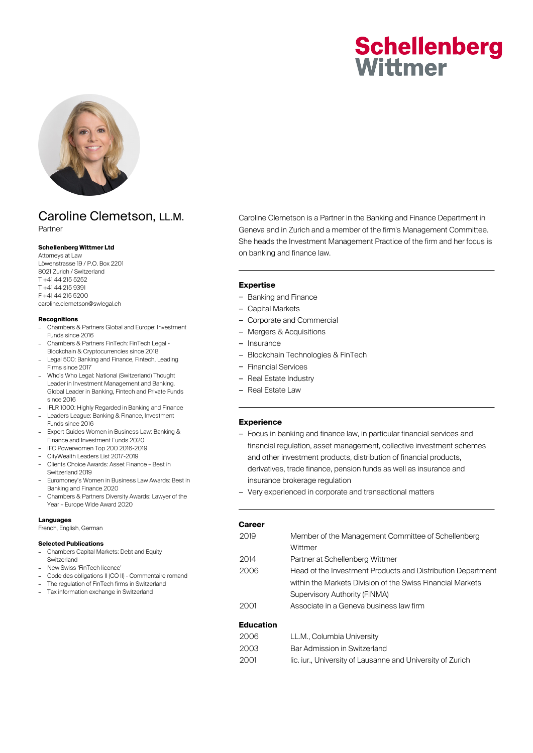# **Schellenberg** Wittmer



## Caroline Clemetson, LL.M.

Partner

#### **Schellenberg Wittmer Ltd**

Attorneys at Law Löwenstrasse 19 / P.O. Box 2201 8021 Zurich / Switzerland T +41 44 215 5252 T +41 44 215 9391 F +41 44 215 5200 caroline.clemetson@swlegal.ch

#### **Recognitions**

- Chambers & Partners Global and Europe: Investment Funds since 2016
- Chambers & Partners FinTech: FinTech Legal Blockchain & Cryptocurrencies since 2018
- Legal 500: Banking and Finance, Fintech, Leading Firms since 2017
- Who's Who Legal: National (Switzerland) Thought Leader in Investment Management and Banking. Global Leader in Banking, Fintech and Private Funds since 2016
- IFLR 1000: Highly Regarded in Banking and Finance – Leaders League: Banking & Finance, Investment
- Funds since 2016
- Expert Guides Women in Business Law: Banking & Finance and Investment Funds 2020
- IFC Powerwomen Top 200 2016-2019
- CityWealth Leaders List 2017-2019
- Clients Choice Awards: Asset Finance Best in Switzerland 2019
- Euromoney's Women in Business Law Awards: Best in Banking and Finance 2020
- Chambers & Partners Diversity Awards: Lawyer of the Year – Europe Wide Award 2020

#### **Languages**

French, English, German

#### **Selected Publications**

- Chambers Capital Markets: Debt and Equity Switzerland
- New Swiss 'FinTech licence'
- Code des obligations II (CO II) Commentaire romand
- The regulation of FinTech firms in Switzerland
- Tax information exchange in Switzerland

Caroline Clemetson is a Partner in the Banking and Finance Department in Geneva and in Zurich and a member of the firm's Management Committee. She heads the Investment Management Practice of the firm and her focus is on banking and finance law.

#### **Expertise**

- Banking and Finance
- Capital Markets
- Corporate and Commercial
- Mergers & Acquisitions
- Insurance
- Blockchain Technologies & FinTech
- Financial Services
- Real Estate Industry
- Real Estate Law

#### **Experience**

- Focus in banking and finance law, in particular financial services and financial regulation, asset management, collective investment schemes and other investment products, distribution of financial products, derivatives, trade finance, pension funds as well as insurance and insurance brokerage regulation
- Very experienced in corporate and transactional matters

| Career                |                                                                                                                                                                                                                                                                                                                                                                                                                                                                                            |
|-----------------------|--------------------------------------------------------------------------------------------------------------------------------------------------------------------------------------------------------------------------------------------------------------------------------------------------------------------------------------------------------------------------------------------------------------------------------------------------------------------------------------------|
| 2019                  | Member of the Management Committee of Schellenberg                                                                                                                                                                                                                                                                                                                                                                                                                                         |
|                       | Wittmer                                                                                                                                                                                                                                                                                                                                                                                                                                                                                    |
| 2014                  | Partner at Schellenberg Wittmer                                                                                                                                                                                                                                                                                                                                                                                                                                                            |
| 2006                  | Head of the Investment Products and Distribution Department                                                                                                                                                                                                                                                                                                                                                                                                                                |
|                       | within the Markets Division of the Swiss Financial Markets                                                                                                                                                                                                                                                                                                                                                                                                                                 |
|                       | Supervisory Authority (FINMA)                                                                                                                                                                                                                                                                                                                                                                                                                                                              |
| 2001                  | Associate in a Geneva business law firm                                                                                                                                                                                                                                                                                                                                                                                                                                                    |
| <b>Education</b>      |                                                                                                                                                                                                                                                                                                                                                                                                                                                                                            |
| $\cap \cap \cap \cap$ | $\blacksquare$ $\blacksquare$ $\blacksquare$ $\blacksquare$ $\blacksquare$ $\blacksquare$ $\blacksquare$ $\blacksquare$ $\blacksquare$ $\blacksquare$ $\blacksquare$ $\blacksquare$ $\blacksquare$ $\blacksquare$ $\blacksquare$ $\blacksquare$ $\blacksquare$ $\blacksquare$ $\blacksquare$ $\blacksquare$ $\blacksquare$ $\blacksquare$ $\blacksquare$ $\blacksquare$ $\blacksquare$ $\blacksquare$ $\blacksquare$ $\blacksquare$ $\blacksquare$ $\blacksquare$ $\blacksquare$ $\blacks$ |

| 2006                 | LL.M., Columbia University   |  |
|----------------------|------------------------------|--|
| 2003                 | Bar Admission in Switzerland |  |
| $\sim$ $\sim$ $\sim$ |                              |  |

2001 lic. iur., University of Lausanne and University of Zurich